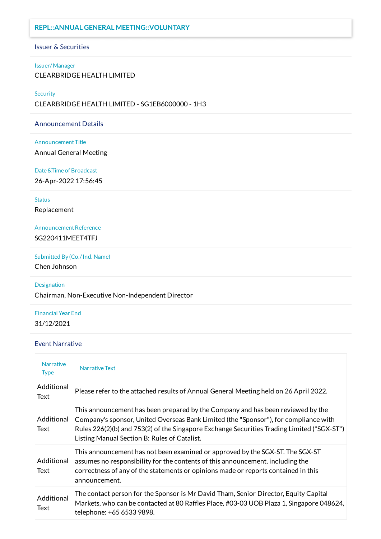## **REPL::ANNUAL GENERAL MEETING::VOLUNTARY**

#### Issuer & Securities

#### Issuer/Manager

CLEARBRIDGE HEALTH LIMITED

#### **Security**

CLEARBRIDGE HEALTH LIMITED - SG1EB6000000 - 1H3

#### Announcement Details

#### Announcement Title

Annual General Meeting

#### Date &Time of Broadcast

26-Apr-2022 17:56:45

#### **Status**

Replacement

# Announcement Reference

SG220411MEET4TFJ

## Submitted By (Co./Ind. Name)

Chen Johnson

#### Designation

Chairman, Non-Executive Non-Independent Director

## Financial Year End 31/12/2021

## Event Narrative

| <b>Narrative</b><br><b>Type</b> | <b>Narrative Text</b>                                                                                                                                                                                                                                                                                                 |
|---------------------------------|-----------------------------------------------------------------------------------------------------------------------------------------------------------------------------------------------------------------------------------------------------------------------------------------------------------------------|
| Additional<br>Text              | Please refer to the attached results of Annual General Meeting held on 26 April 2022.                                                                                                                                                                                                                                 |
| Additional<br>Text              | This announcement has been prepared by the Company and has been reviewed by the<br>Company's sponsor, United Overseas Bank Limited (the "Sponsor"), for compliance with<br>Rules 226(2)(b) and 753(2) of the Singapore Exchange Securities Trading Limited ("SGX-ST")<br>Listing Manual Section B: Rules of Catalist. |
| Additional<br>Text              | This announcement has not been examined or approved by the SGX-ST. The SGX-ST<br>assumes no responsibility for the contents of this announcement, including the<br>correctness of any of the statements or opinions made or reports contained in this<br>announcement.                                                |
| Additional<br>Text              | The contact person for the Sponsor is Mr David Tham, Senior Director, Equity Capital<br>Markets, who can be contacted at 80 Raffles Place, #03-03 UOB Plaza 1, Singapore 048624,<br>telephone: +65 6533 9898.                                                                                                         |